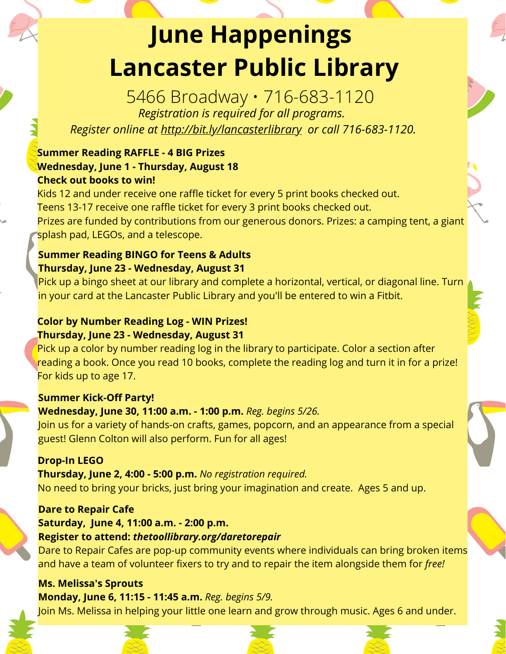# **June Happenings Lancaster Public Library**

5466 Broadway • 716-683-1120 *Registration is required for all programs.*

*Register online at http://bit.ly/lancasterlibrary or call 716-683-1120.*

# **Summer Reading RAFFLE - 4 BIG Prizes Wednesday, June 1 - Thursday, August 18 Check out books to win!**

Kids 12 and under receive one raffle ticket for every 5 print books checked out. Teens 13-17 receive one raffle ticket for every 3 print books checked out. Prizes are funded by contributions from our generous donors. Prizes: a camping tent, a giant splash pad, LEGOs, and a telescope.

#### **Summer Reading BINGO for Teens & Adults Thursday, June 23 - Wednesday, August 31**

Pick up a bingo sheet at our library and complete a horizontal, vertical, or diagonal line. Turn in your card at the Lancaster Public Library and you'll be entered to win a Fitbit.

# **Color by Number Reading Log - WIN Prizes! Thursday, June 23 - Wednesday, August 31**

Pick up a color by number reading log in the library to participate. Color a section after reading a book. Once you read 10 books, complete the reading log and turn it in for a prize! For kids up to age 17.

# **Summer Kick-Off Party!**

# **Wednesday, June 30, 11:00 a.m. - 1:00 p.m.** *Reg. begins 5/26.*

Join us for a variety of hands-on crafts, games, popcorn, and an appearance from a special guest! Glenn Colton will also perform. Fun for all ages!

# **Drop-In LEGO**

**Thursday, June 2, 4:00 - 5:00 p.m.** *No registration required.* No need to bring your bricks, just bring your imagination and create. Ages 5 and up.

# **Dare to Repair Cafe**

# **Saturday, June 4, 11:00 a.m. - 2:00 p.m.**

#### **Register to attend:** *thetoollibrary.org/daretorepair*

Dare to Repair Cafes are pop-up community events where individuals can bring broken items and have a team of volunteer fixers to try and to repair the item alongside them for *free!*

# **Ms. Melissa's Sprouts**

**Monday, June 6, 11:15 - 11:45 a.m.** *Reg. begins 5/9.* Join Ms. Melissa in helping your little one learn and grow through music. Ages 6 and under.